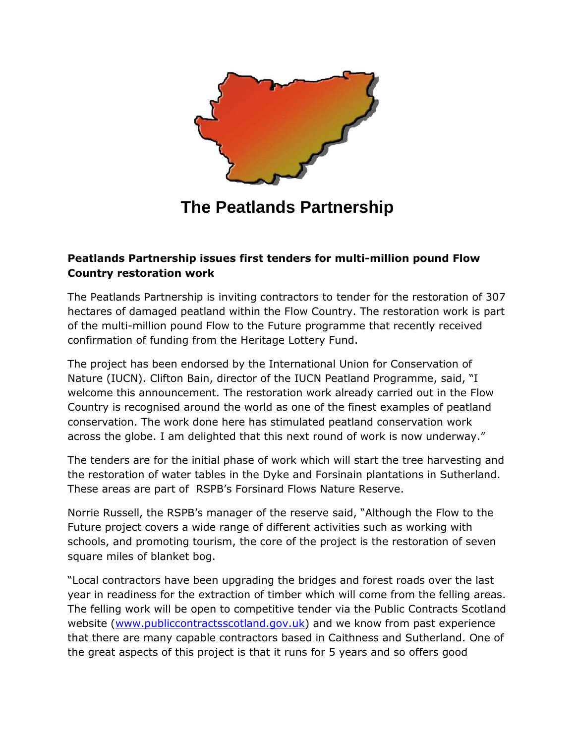

## **The Peatlands Partnership**

## **Peatlands Partnership issues first tenders for multi-million pound Flow Country restoration work**

The Peatlands Partnership is inviting contractors to tender for the restoration of 307 hectares of damaged peatland within the Flow Country. The restoration work is part of the multi-million pound Flow to the Future programme that recently received confirmation of funding from the Heritage Lottery Fund.

The project has been endorsed by the International Union for Conservation of Nature (IUCN). Clifton Bain, director of the IUCN Peatland Programme, said, "I welcome this announcement. The restoration work already carried out in the Flow Country is recognised around the world as one of the finest examples of peatland conservation. The work done here has stimulated peatland conservation work across the globe. I am delighted that this next round of work is now underway."

The tenders are for the initial phase of work which will start the tree harvesting and the restoration of water tables in the Dyke and Forsinain plantations in Sutherland. These areas are part of RSPB's Forsinard Flows Nature Reserve.

Norrie Russell, the RSPB's manager of the reserve said, "Although the Flow to the Future project covers a wide range of different activities such as working with schools, and promoting tourism, the core of the project is the restoration of seven square miles of blanket bog.

"Local contractors have been upgrading the bridges and forest roads over the last year in readiness for the extraction of timber which will come from the felling areas. The felling work will be open to competitive tender via the Public Contracts Scotland website [\(www.publiccontractsscotland.gov.uk\)](http://www.publiccontractsscotland.gov.uk/) and we know from past experience that there are many capable contractors based in Caithness and Sutherland. One of the great aspects of this project is that it runs for 5 years and so offers good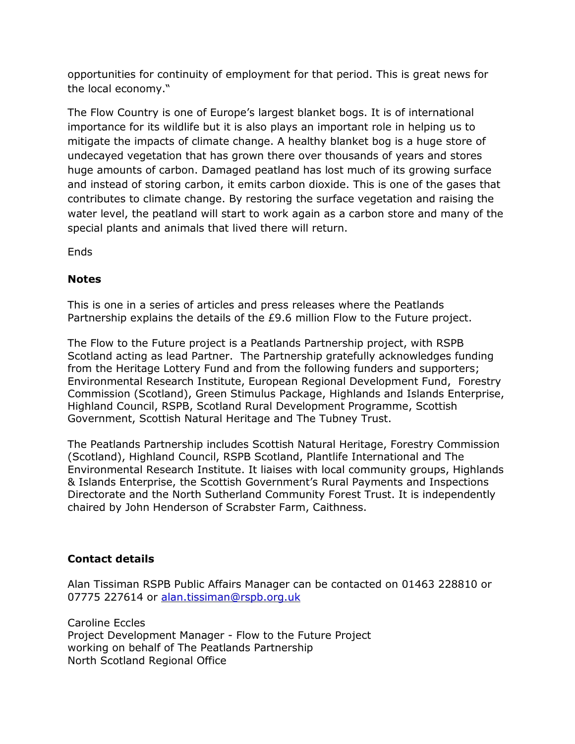opportunities for continuity of employment for that period. This is great news for the local economy."

The Flow Country is one of Europe's largest blanket bogs. It is of international importance for its wildlife but it is also plays an important role in helping us to mitigate the impacts of climate change. A healthy blanket bog is a huge store of undecayed vegetation that has grown there over thousands of years and stores huge amounts of carbon. Damaged peatland has lost much of its growing surface and instead of storing carbon, it emits carbon dioxide. This is one of the gases that contributes to climate change. By restoring the surface vegetation and raising the water level, the peatland will start to work again as a carbon store and many of the special plants and animals that lived there will return.

Ends

## **Notes**

This is one in a series of articles and press releases where the Peatlands Partnership explains the details of the £9.6 million Flow to the Future project.

The Flow to the Future project is a Peatlands Partnership project, with RSPB Scotland acting as lead Partner. The Partnership gratefully acknowledges funding from the Heritage Lottery Fund and from the following funders and supporters; Environmental Research Institute, European Regional Development Fund, Forestry Commission (Scotland), Green Stimulus Package, Highlands and Islands Enterprise, Highland Council, RSPB, Scotland Rural Development Programme, Scottish Government, Scottish Natural Heritage and The Tubney Trust.

The Peatlands Partnership includes Scottish Natural Heritage, Forestry Commission (Scotland), Highland Council, RSPB Scotland, Plantlife International and The Environmental Research Institute. It liaises with local community groups, Highlands & Islands Enterprise, the Scottish Government's Rural Payments and Inspections Directorate and the North Sutherland Community Forest Trust. It is independently chaired by John Henderson of Scrabster Farm, Caithness.

## **Contact details**

Alan Tissiman RSPB Public Affairs Manager can be contacted on 01463 228810 or 07775 227614 or [alan.tissiman@rspb.org.uk](mailto:alan.tissiman@rspb.org.uk)

Caroline Eccles Project Development Manager - Flow to the Future Project working on behalf of The Peatlands Partnership North Scotland Regional Office